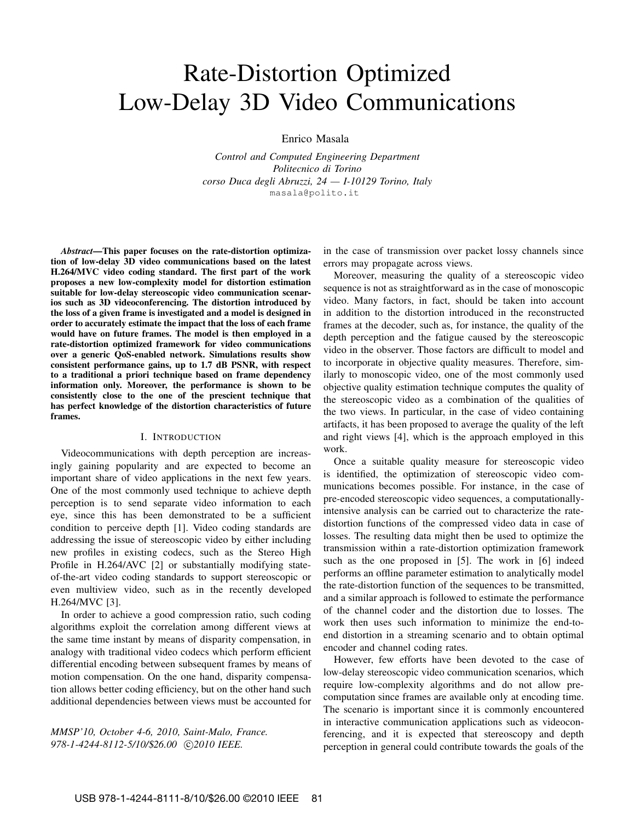# Rate-Distortion Optimized Low-Delay 3D Video Communications

Enrico Masala

*Control and Computed Engineering Department Politecnico di Torino corso Duca degli Abruzzi, 24 — I-10129 Torino, Italy* masala@polito.it

*Abstract*—This paper focuses on the rate-distortion optimization of low-delay 3D video communications based on the latest H.264/MVC video coding standard. The first part of the work proposes a new low-complexity model for distortion estimation suitable for low-delay stereoscopic video communication scenarios such as 3D videoconferencing. The distortion introduced by the loss of a given frame is investigated and a model is designed in order to accurately estimate the impact that the loss of each frame would have on future frames. The model is then employed in a rate-distortion optimized framework for video communications over a generic QoS-enabled network. Simulations results show consistent performance gains, up to 1.7 dB PSNR, with respect to a traditional a priori technique based on frame dependency information only. Moreover, the performance is shown to be consistently close to the one of the prescient technique that has perfect knowledge of the distortion characteristics of future frames.

#### I. INTRODUCTION

Videocommunications with depth perception are increasingly gaining popularity and are expected to become an important share of video applications in the next few years. One of the most commonly used technique to achieve depth perception is to send separate video information to each eye, since this has been demonstrated to be a sufficient condition to perceive depth [1]. Video coding standards are addressing the issue of stereoscopic video by either including new profiles in existing codecs, such as the Stereo High Profile in H.264/AVC [2] or substantially modifying stateof-the-art video coding standards to support stereoscopic or even multiview video, such as in the recently developed H.264/MVC [3].

In order to achieve a good compression ratio, such coding algorithms exploit the correlation among different views at the same time instant by means of disparity compensation, in analogy with traditional video codecs which perform efficient differential encoding between subsequent frames by means of motion compensation. On the one hand, disparity compensation allows better coding efficiency, but on the other hand such additional dependencies between views must be accounted for

*MMSP'10, October 4-6, 2010, Saint-Malo, France. 978-1-4244-8112-5/10/*\$*26.00* c *2010 IEEE.*

in the case of transmission over packet lossy channels since errors may propagate across views.

Moreover, measuring the quality of a stereoscopic video sequence is not as straightforward as in the case of monoscopic video. Many factors, in fact, should be taken into account in addition to the distortion introduced in the reconstructed frames at the decoder, such as, for instance, the quality of the depth perception and the fatigue caused by the stereoscopic video in the observer. Those factors are difficult to model and to incorporate in objective quality measures. Therefore, similarly to monoscopic video, one of the most commonly used objective quality estimation technique computes the quality of the stereoscopic video as a combination of the qualities of the two views. In particular, in the case of video containing artifacts, it has been proposed to average the quality of the left and right views [4], which is the approach employed in this work.

Once a suitable quality measure for stereoscopic video is identified, the optimization of stereoscopic video communications becomes possible. For instance, in the case of pre-encoded stereoscopic video sequences, a computationallyintensive analysis can be carried out to characterize the ratedistortion functions of the compressed video data in case of losses. The resulting data might then be used to optimize the transmission within a rate-distortion optimization framework such as the one proposed in [5]. The work in [6] indeed performs an offline parameter estimation to analytically model the rate-distortion function of the sequences to be transmitted, and a similar approach is followed to estimate the performance of the channel coder and the distortion due to losses. The work then uses such information to minimize the end-toend distortion in a streaming scenario and to obtain optimal encoder and channel coding rates.

However, few efforts have been devoted to the case of low-delay stereoscopic video communication scenarios, which require low-complexity algorithms and do not allow precomputation since frames are available only at encoding time. The scenario is important since it is commonly encountered in interactive communication applications such as videoconferencing, and it is expected that stereoscopy and depth perception in general could contribute towards the goals of the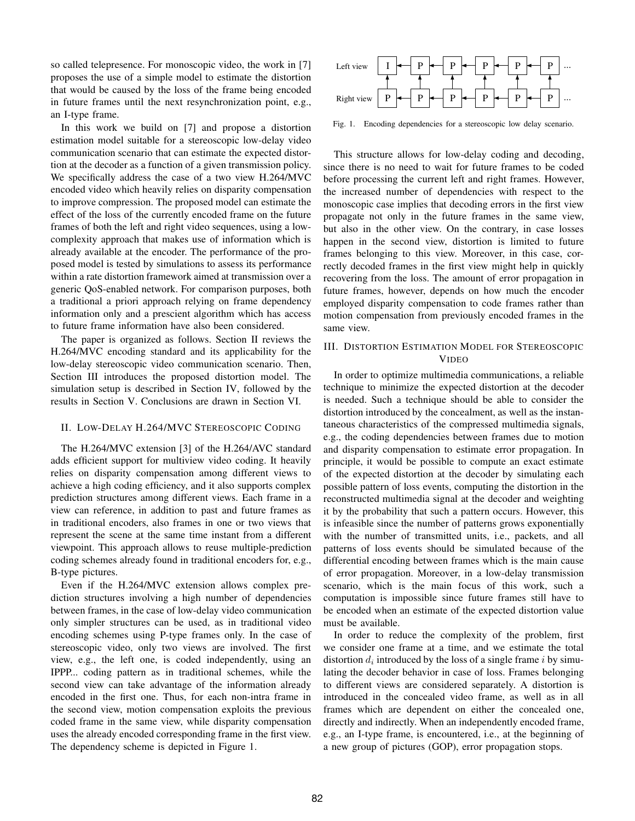so called telepresence. For monoscopic video, the work in [7] proposes the use of a simple model to estimate the distortion that would be caused by the loss of the frame being encoded in future frames until the next resynchronization point, e.g., an I-type frame.

In this work we build on [7] and propose a distortion estimation model suitable for a stereoscopic low-delay video communication scenario that can estimate the expected distortion at the decoder as a function of a given transmission policy. We specifically address the case of a two view H.264/MVC encoded video which heavily relies on disparity compensation to improve compression. The proposed model can estimate the effect of the loss of the currently encoded frame on the future frames of both the left and right video sequences, using a lowcomplexity approach that makes use of information which is already available at the encoder. The performance of the proposed model is tested by simulations to assess its performance within a rate distortion framework aimed at transmission over a generic QoS-enabled network. For comparison purposes, both a traditional a priori approach relying on frame dependency information only and a prescient algorithm which has access to future frame information have also been considered.

The paper is organized as follows. Section II reviews the H.264/MVC encoding standard and its applicability for the low-delay stereoscopic video communication scenario. Then, Section III introduces the proposed distortion model. The simulation setup is described in Section IV, followed by the results in Section V. Conclusions are drawn in Section VI.

## II. LOW-DELAY H.264/MVC STEREOSCOPIC CODING

The H.264/MVC extension [3] of the H.264/AVC standard adds efficient support for multiview video coding. It heavily relies on disparity compensation among different views to achieve a high coding efficiency, and it also supports complex prediction structures among different views. Each frame in a view can reference, in addition to past and future frames as in traditional encoders, also frames in one or two views that represent the scene at the same time instant from a different viewpoint. This approach allows to reuse multiple-prediction coding schemes already found in traditional encoders for, e.g., B-type pictures.

Even if the H.264/MVC extension allows complex prediction structures involving a high number of dependencies between frames, in the case of low-delay video communication only simpler structures can be used, as in traditional video encoding schemes using P-type frames only. In the case of stereoscopic video, only two views are involved. The first view, e.g., the left one, is coded independently, using an IPPP... coding pattern as in traditional schemes, while the second view can take advantage of the information already encoded in the first one. Thus, for each non-intra frame in the second view, motion compensation exploits the previous coded frame in the same view, while disparity compensation uses the already encoded corresponding frame in the first view. The dependency scheme is depicted in Figure 1.



Fig. 1. Encoding dependencies for a stereoscopic low delay scenario.

This structure allows for low-delay coding and decoding, since there is no need to wait for future frames to be coded before processing the current left and right frames. However, the increased number of dependencies with respect to the monoscopic case implies that decoding errors in the first view propagate not only in the future frames in the same view, but also in the other view. On the contrary, in case losses happen in the second view, distortion is limited to future frames belonging to this view. Moreover, in this case, correctly decoded frames in the first view might help in quickly recovering from the loss. The amount of error propagation in future frames, however, depends on how much the encoder employed disparity compensation to code frames rather than motion compensation from previously encoded frames in the same view.

## III. DISTORTION ESTIMATION MODEL FOR STEREOSCOPIC VIDEO

In order to optimize multimedia communications, a reliable technique to minimize the expected distortion at the decoder is needed. Such a technique should be able to consider the distortion introduced by the concealment, as well as the instantaneous characteristics of the compressed multimedia signals, e.g., the coding dependencies between frames due to motion and disparity compensation to estimate error propagation. In principle, it would be possible to compute an exact estimate of the expected distortion at the decoder by simulating each possible pattern of loss events, computing the distortion in the reconstructed multimedia signal at the decoder and weighting it by the probability that such a pattern occurs. However, this is infeasible since the number of patterns grows exponentially with the number of transmitted units, i.e., packets, and all patterns of loss events should be simulated because of the differential encoding between frames which is the main cause of error propagation. Moreover, in a low-delay transmission scenario, which is the main focus of this work, such a computation is impossible since future frames still have to be encoded when an estimate of the expected distortion value must be available.

In order to reduce the complexity of the problem, first we consider one frame at a time, and we estimate the total distortion  $d_i$  introduced by the loss of a single frame i by simulating the decoder behavior in case of loss. Frames belonging to different views are considered separately. A distortion is introduced in the concealed video frame, as well as in all frames which are dependent on either the concealed one, directly and indirectly. When an independently encoded frame, e.g., an I-type frame, is encountered, i.e., at the beginning of a new group of pictures (GOP), error propagation stops.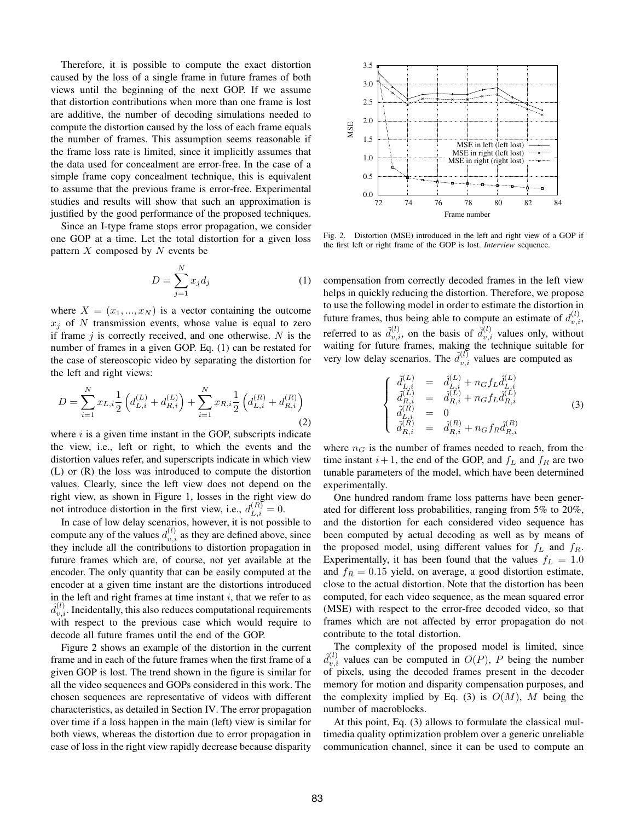Therefore, it is possible to compute the exact distortion caused by the loss of a single frame in future frames of both views until the beginning of the next GOP. If we assume that distortion contributions when more than one frame is lost are additive, the number of decoding simulations needed to compute the distortion caused by the loss of each frame equals the number of frames. This assumption seems reasonable if the frame loss rate is limited, since it implicitly assumes that the data used for concealment are error-free. In the case of a simple frame copy concealment technique, this is equivalent to assume that the previous frame is error-free. Experimental studies and results will show that such an approximation is justified by the good performance of the proposed techniques.

Since an I-type frame stops error propagation, we consider one GOP at a time. Let the total distortion for a given loss pattern  $X$  composed by  $N$  events be

$$
D = \sum_{j=1}^{N} x_j d_j \tag{1}
$$

where  $X = (x_1, ..., x_N)$  is a vector containing the outcome  $x_i$  of N transmission events, whose value is equal to zero if frame  $j$  is correctly received, and one otherwise.  $N$  is the number of frames in a given GOP. Eq. (1) can be restated for the case of stereoscopic video by separating the distortion for the left and right views:

$$
D = \sum_{i=1}^{N} x_{L,i} \frac{1}{2} \left( d_{L,i}^{(L)} + d_{R,i}^{(L)} \right) + \sum_{i=1}^{N} x_{R,i} \frac{1}{2} \left( d_{L,i}^{(R)} + d_{R,i}^{(R)} \right)
$$
(2)

where  $i$  is a given time instant in the GOP, subscripts indicate the view, i.e., left or right, to which the events and the distortion values refer, and superscripts indicate in which view (L) or (R) the loss was introduced to compute the distortion values. Clearly, since the left view does not depend on the right view, as shown in Figure 1, losses in the right view do not introduce distortion in the first view, i.e.,  $d_{L,i}^{(R)} = 0$ .

In case of low delay scenarios, however, it is not possible to compute any of the values  $d_{v,i}^{(l)}$  as they are defined above, since they include all the contributions to distortion propagation in future frames which are, of course, not yet available at the encoder. The only quantity that can be easily computed at the encoder at a given time instant are the distortions introduced in the left and right frames at time instant  $i$ , that we refer to as  $\hat{d}_{v,i}^{(l)}$ . Incidentally, this also reduces computational requirements with respect to the previous case which would require to decode all future frames until the end of the GOP.

Figure 2 shows an example of the distortion in the current frame and in each of the future frames when the first frame of a given GOP is lost. The trend shown in the figure is similar for all the video sequences and GOPs considered in this work. The chosen sequences are representative of videos with different characteristics, as detailed in Section IV. The error propagation over time if a loss happen in the main (left) view is similar for both views, whereas the distortion due to error propagation in case of loss in the right view rapidly decrease because disparity



Fig. 2. Distortion (MSE) introduced in the left and right view of a GOP if the first left or right frame of the GOP is lost. *Interview* sequence.

compensation from correctly decoded frames in the left view helps in quickly reducing the distortion. Therefore, we propose to use the following model in order to estimate the distortion in future frames, thus being able to compute an estimate of  $d_{v,i}^{(l)}$ , referred to as  $\tilde{d}_{v,i}^{(l)}$ , on the basis of  $\hat{d}_{v,i}^{(l)}$  values only, without waiting for future frames, making the technique suitable for very low delay scenarios. The  $\tilde{d}_{v,i}^{(l)}$  values are computed as

$$
\begin{cases}\n\tilde{d}_{L,i}^{(L)} = \hat{d}_{L,i}^{(L)} + n_G f_L \hat{d}_{L,i}^{(L)} \\
\tilde{d}_{R,i}^{(L)} = \hat{d}_{R,i}^{(L)} + n_G f_L \hat{d}_{R,i}^{(L)} \\
\tilde{d}_{L,i}^{(R)} = 0 \\
\tilde{d}_{R,i}^{(R)} = \hat{d}_{R,i}^{(R)} + n_G f_R \hat{d}_{R,i}^{(R)}\n\end{cases} (3)
$$

where  $n<sub>G</sub>$  is the number of frames needed to reach, from the time instant  $i+1$ , the end of the GOP, and  $f<sub>L</sub>$  and  $f<sub>R</sub>$  are two tunable parameters of the model, which have been determined experimentally.

One hundred random frame loss patterns have been generated for different loss probabilities, ranging from 5% to 20%, and the distortion for each considered video sequence has been computed by actual decoding as well as by means of the proposed model, using different values for  $f<sub>L</sub>$  and  $f<sub>R</sub>$ . Experimentally, it has been found that the values  $f_L = 1.0$ and  $f_R = 0.15$  yield, on average, a good distortion estimate, close to the actual distortion. Note that the distortion has been computed, for each video sequence, as the mean squared error (MSE) with respect to the error-free decoded video, so that frames which are not affected by error propagation do not contribute to the total distortion.

The complexity of the proposed model is limited, since  $\hat{d}_{v,i}^{(l)}$  values can be computed in  $O(P)$ , P being the number of pixels, using the decoded frames present in the decoder memory for motion and disparity compensation purposes, and the complexity implied by Eq. (3) is  $O(M)$ , M being the number of macroblocks.

At this point, Eq. (3) allows to formulate the classical multimedia quality optimization problem over a generic unreliable communication channel, since it can be used to compute an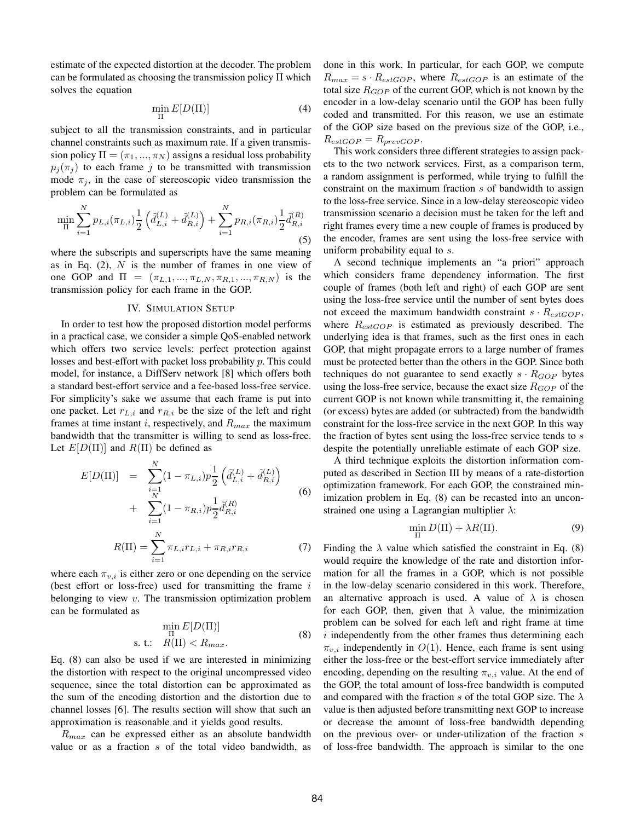estimate of the expected distortion at the decoder. The problem can be formulated as choosing the transmission policy  $\Pi$  which solves the equation

$$
\min_{\Pi} E[D(\Pi)] \tag{4}
$$

subject to all the transmission constraints, and in particular channel constraints such as maximum rate. If a given transmission policy  $\Pi = (\pi_1, ..., \pi_N)$  assigns a residual loss probability  $p_i(\pi_i)$  to each frame j to be transmitted with transmission mode  $\pi_j$ , in the case of stereoscopic video transmission the problem can be formulated as

$$
\min_{\Pi} \sum_{i=1}^{N} p_{L,i}(\pi_{L,i}) \frac{1}{2} \left( \tilde{d}_{L,i}^{(L)} + \tilde{d}_{R,i}^{(L)} \right) + \sum_{i=1}^{N} p_{R,i}(\pi_{R,i}) \frac{1}{2} \tilde{d}_{R,i}^{(R)} \tag{5}
$$

where the subscripts and superscripts have the same meaning as in Eq.  $(2)$ , N is the number of frames in one view of one GOP and  $\Pi = (\pi_{L,1}, ..., \pi_{L,N}, \pi_{R,1}, ..., \pi_{R,N})$  is the transmission policy for each frame in the GOP.

## IV. SIMULATION SETUP

In order to test how the proposed distortion model performs in a practical case, we consider a simple QoS-enabled network which offers two service levels: perfect protection against losses and best-effort with packet loss probability p. This could model, for instance, a DiffServ network [8] which offers both a standard best-effort service and a fee-based loss-free service. For simplicity's sake we assume that each frame is put into one packet. Let  $r_{L,i}$  and  $r_{R,i}$  be the size of the left and right frames at time instant i, respectively, and  $R_{max}$  the maximum bandwidth that the transmitter is willing to send as loss-free. Let  $E[D(\Pi)]$  and  $R(\Pi)$  be defined as

$$
E[D(\Pi)] = \sum_{i=1}^{N} (1 - \pi_{L,i}) p \frac{1}{2} \left( \tilde{d}_{L,i}^{(L)} + \tilde{d}_{R,i}^{(L)} \right) + \sum_{i=1}^{N} (1 - \pi_{R,i}) p \frac{1}{2} \tilde{d}_{R,i}^{(R)}
$$
(6)

$$
R(\Pi) = \sum_{i=1} \pi_{L,i} r_{L,i} + \pi_{R,i} r_{R,i}
$$
 (7)

where each  $\pi_{v,i}$  is either zero or one depending on the service (best effort or loss-free) used for transmitting the frame  $i$ belonging to view  $v$ . The transmission optimization problem can be formulated as

$$
\min_{\Pi} E[D(\Pi)]
$$
  
s. t.:  $R(\Pi) < R_{max}$ . (8)

Eq. (8) can also be used if we are interested in minimizing the distortion with respect to the original uncompressed video sequence, since the total distortion can be approximated as the sum of the encoding distortion and the distortion due to channel losses [6]. The results section will show that such an approximation is reasonable and it yields good results.

 $R_{max}$  can be expressed either as an absolute bandwidth value or as a fraction s of the total video bandwidth, as

done in this work. In particular, for each GOP, we compute  $R_{max} = s \cdot R_{estGOP}$ , where  $R_{estGOP}$  is an estimate of the total size  $R_{GOP}$  of the current GOP, which is not known by the encoder in a low-delay scenario until the GOP has been fully coded and transmitted. For this reason, we use an estimate of the GOP size based on the previous size of the GOP, i.e.,  $R_{estGOP} = R_{prevGOP}$ .

This work considers three different strategies to assign packets to the two network services. First, as a comparison term, a random assignment is performed, while trying to fulfill the constraint on the maximum fraction  $s$  of bandwidth to assign to the loss-free service. Since in a low-delay stereoscopic video transmission scenario a decision must be taken for the left and right frames every time a new couple of frames is produced by the encoder, frames are sent using the loss-free service with uniform probability equal to s.

A second technique implements an "a priori" approach which considers frame dependency information. The first couple of frames (both left and right) of each GOP are sent using the loss-free service until the number of sent bytes does not exceed the maximum bandwidth constraint  $s \cdot R_{estGOP}$ , where  $R_{estGOP}$  is estimated as previously described. The underlying idea is that frames, such as the first ones in each GOP, that might propagate errors to a large number of frames must be protected better than the others in the GOP. Since both techniques do not guarantee to send exactly  $s \cdot R_{GOP}$  bytes using the loss-free service, because the exact size  $R_{GOP}$  of the current GOP is not known while transmitting it, the remaining (or excess) bytes are added (or subtracted) from the bandwidth constraint for the loss-free service in the next GOP. In this way the fraction of bytes sent using the loss-free service tends to  $s$ despite the potentially unreliable estimate of each GOP size.

A third technique exploits the distortion information computed as described in Section III by means of a rate-distortion optimization framework. For each GOP, the constrained minimization problem in Eq. (8) can be recasted into an unconstrained one using a Lagrangian multiplier  $\lambda$ :

$$
\min_{\Pi} D(\Pi) + \lambda R(\Pi). \tag{9}
$$

Finding the  $\lambda$  value which satisfied the constraint in Eq. (8) would require the knowledge of the rate and distortion information for all the frames in a GOP, which is not possible in the low-delay scenario considered in this work. Therefore, an alternative approach is used. A value of  $\lambda$  is chosen for each GOP, then, given that  $\lambda$  value, the minimization problem can be solved for each left and right frame at time  $i$  independently from the other frames thus determining each  $\pi_{v,i}$  independently in  $O(1)$ . Hence, each frame is sent using either the loss-free or the best-effort service immediately after encoding, depending on the resulting  $\pi_{v,i}$  value. At the end of the GOP, the total amount of loss-free bandwidth is computed and compared with the fraction s of the total GOP size. The  $\lambda$ value is then adjusted before transmitting next GOP to increase or decrease the amount of loss-free bandwidth depending on the previous over- or under-utilization of the fraction s of loss-free bandwidth. The approach is similar to the one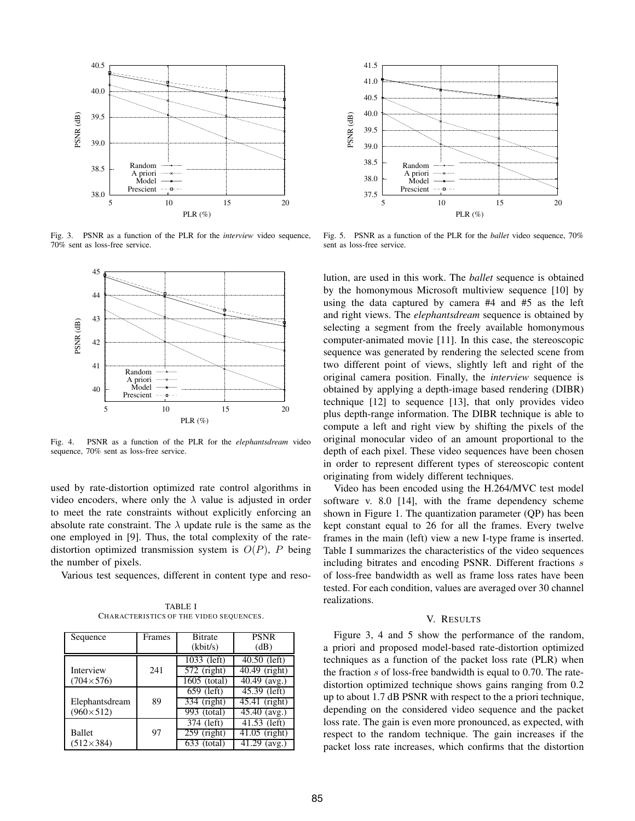

Fig. 3. PSNR as a function of the PLR for the *interview* video sequence, 70% sent as loss-free service.



Fig. 4. PSNR as a function of the PLR for the *elephantsdream* video sequence, 70% sent as loss-free service.

used by rate-distortion optimized rate control algorithms in video encoders, where only the  $\lambda$  value is adjusted in order to meet the rate constraints without explicitly enforcing an absolute rate constraint. The  $\lambda$  update rule is the same as the one employed in [9]. Thus, the total complexity of the ratedistortion optimized transmission system is  $O(P)$ , P being the number of pixels.

Various test sequences, different in content type and reso-

TABLE I CHARACTERISTICS OF THE VIDEO SEQUENCES.

| Sequence                             | Frames | <b>Bitrate</b><br>(kbit/s)                                | <b>PSNR</b><br>(dB)                                            |
|--------------------------------------|--------|-----------------------------------------------------------|----------------------------------------------------------------|
| Interview<br>$(704 \times 576)$      | 241    | $\overline{1033}$ (left)<br>$572$ (right)<br>1605 (total) | $\overline{40.50}$ (left)<br>$40.49$ (right)<br>$40.49$ (avg.) |
| Elephantsdream<br>$(960 \times 512)$ | 89     | 659 (left)<br>334 (right)<br>993 (total)                  | $45.39$ (left)<br>$45.41$ (right)<br>$45.40 \ (avg.)$          |
| <b>Ballet</b><br>$(512\times384)$    | 97     | 374 (left)<br>$259$ (right)<br>$633$ (total)              | $41.53$ (left)<br>$41.05$ (right)<br>$\overline{4}1.29$ (avg.) |



Fig. 5. PSNR as a function of the PLR for the *ballet* video sequence, 70% sent as loss-free service.

lution, are used in this work. The *ballet* sequence is obtained by the homonymous Microsoft multiview sequence [10] by using the data captured by camera #4 and #5 as the left and right views. The *elephantsdream* sequence is obtained by selecting a segment from the freely available homonymous computer-animated movie [11]. In this case, the stereoscopic sequence was generated by rendering the selected scene from two different point of views, slightly left and right of the original camera position. Finally, the *interview* sequence is obtained by applying a depth-image based rendering (DIBR) technique [12] to sequence [13], that only provides video plus depth-range information. The DIBR technique is able to compute a left and right view by shifting the pixels of the original monocular video of an amount proportional to the depth of each pixel. These video sequences have been chosen in order to represent different types of stereoscopic content originating from widely different techniques.

Video has been encoded using the H.264/MVC test model software v. 8.0 [14], with the frame dependency scheme shown in Figure 1. The quantization parameter (QP) has been kept constant equal to 26 for all the frames. Every twelve frames in the main (left) view a new I-type frame is inserted. Table I summarizes the characteristics of the video sequences including bitrates and encoding PSNR. Different fractions s of loss-free bandwidth as well as frame loss rates have been tested. For each condition, values are averaged over 30 channel realizations.

## V. RESULTS

Figure 3, 4 and 5 show the performance of the random, a priori and proposed model-based rate-distortion optimized techniques as a function of the packet loss rate (PLR) when the fraction  $s$  of loss-free bandwidth is equal to 0.70. The ratedistortion optimized technique shows gains ranging from 0.2 up to about 1.7 dB PSNR with respect to the a priori technique, depending on the considered video sequence and the packet loss rate. The gain is even more pronounced, as expected, with respect to the random technique. The gain increases if the packet loss rate increases, which confirms that the distortion